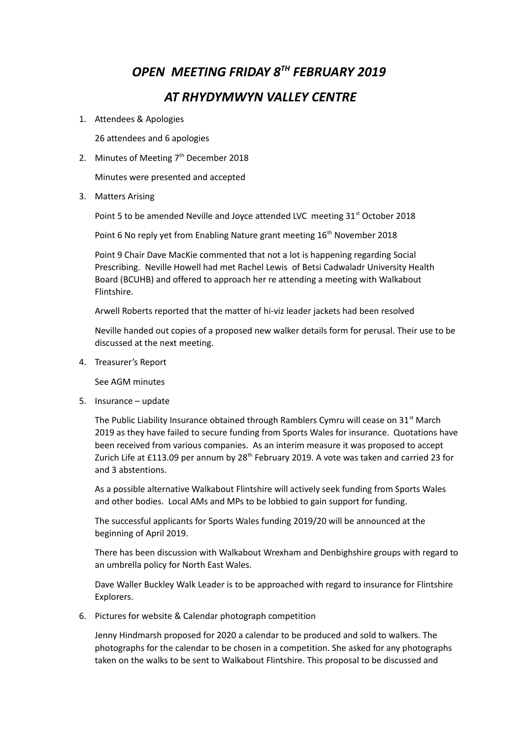## *OPEN MEETING FRIDAY 8TH FEBRUARY 2019 AT RHYDYMWYN VALLEY CENTRE*

## 1. Attendees & Apologies

26 attendees and 6 apologies

2. Minutes of Meeting  $7<sup>th</sup>$  December 2018

Minutes were presented and accepted

3. Matters Arising

Point 5 to be amended Neville and Joyce attended LVC meeting 31<sup>st</sup> October 2018

Point 6 No reply yet from Enabling Nature grant meeting 16<sup>th</sup> November 2018

Point 9 Chair Dave MacKie commented that not a lot is happening regarding Social Prescribing. Neville Howell had met Rachel Lewis of Betsi Cadwaladr University Health Board (BCUHB) and offered to approach her re attending a meeting with Walkabout Flintshire.

Arwell Roberts reported that the matter of hi-viz leader jackets had been resolved

Neville handed out copies of a proposed new walker details form for perusal. Their use to be discussed at the next meeting.

4. Treasurer's Report

See AGM minutes

5. Insurance – update

The Public Liability Insurance obtained through Ramblers Cymru will cease on 31 $^{\rm st}$  March 2019 as they have failed to secure funding from Sports Wales for insurance. Quotations have been received from various companies. As an interim measure it was proposed to accept Zurich Life at £113.09 per annum by 28<sup>th</sup> February 2019. A vote was taken and carried 23 for and 3 abstentions.

As a possible alternative Walkabout Flintshire will actively seek funding from Sports Wales and other bodies. Local AMs and MPs to be lobbied to gain support for funding.

The successful applicants for Sports Wales funding 2019/20 will be announced at the beginning of April 2019.

There has been discussion with Walkabout Wrexham and Denbighshire groups with regard to an umbrella policy for North East Wales.

Dave Waller Buckley Walk Leader is to be approached with regard to insurance for Flintshire Explorers.

6. Pictures for website & Calendar photograph competition

Jenny Hindmarsh proposed for 2020 a calendar to be produced and sold to walkers. The photographs for the calendar to be chosen in a competition. She asked for any photographs taken on the walks to be sent to Walkabout Flintshire. This proposal to be discussed and